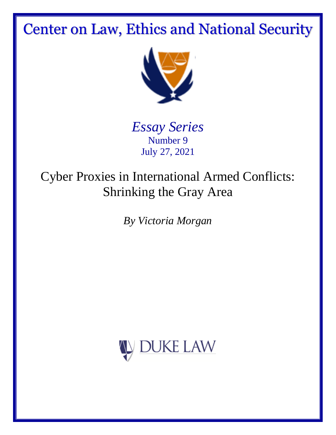# Center on Law, Ethics and National Security



*Essay Series* Number 9 July 27, 2021

# Cyber Proxies in International Armed Conflicts: Shrinking the Gray Area

*By Victoria Morgan*

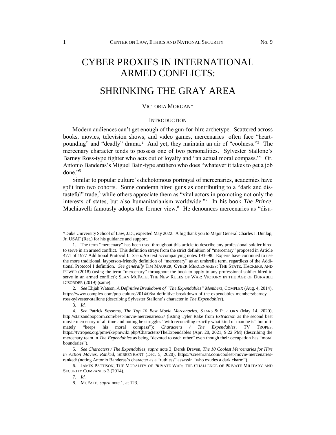# CYBER PROXIES IN INTERNATIONAL ARMED CONFLICTS:

# SHRINKING THE GRAY AREA

#### VICTORIA MORGAN\*

#### **INTRODUCTION**

Modern audiences can't get enough of the gun-for-hire archetype. Scattered across books, movies, television shows, and video games, mercenaries<sup>1</sup> often face "heartpounding" and "deadly" drama.<sup>2</sup> And yet, they maintain an air of "coolness."<sup>3</sup> The mercenary character tends to possess one of two personalities. Sylvester Stallone's Barney Ross-type fighter who acts out of loyalty and "an actual moral compass."<sup>4</sup> Or, Antonio Banderas's Miguel Bain-type antihero who does "whatever it takes to get a job done."<sup>5</sup>

Similar to popular culture's dichotomous portrayal of mercenaries, academics have split into two cohorts. Some condemn hired guns as contributing to a "dark and distasteful" trade,<sup>6</sup> while others appreciate them as "vital actors in promoting not only the interests of states, but also humanitarianism worldwide."<sup>7</sup> In his book *The Prince*, Machiavelli famously adopts the former view.<sup>8</sup> He denounces mercenaries as "disu-

<sup>\*</sup>Duke University School of Law, J.D., expected May 2022. A big thank you to Major General Charles J. Dunlap, Jr. USAF (Ret.) for his guidance and support.

<sup>1.</sup> The term "mercenary" has been used throughout this article to describe any professional soldier hired to serve in an armed conflict. This definition strays from the strict definition of "mercenary" proposed in Article 47.1 of 1977 Additional Protocol I. *See infra* text accompanying notes 193–98. Experts have continued to use the more traditional, layperson-friendly definition of "mercenary" as an umbrella term, regardless of the Additional Protocol I definition. *See generally* TIM MAURER, CYBER MERCENARIES: THE STATE, HACKERS, AND POWER (2018) (using the term "mercenary" throughout the book to apply to any professional soldier hired to serve in an armed conflict); SEAN MCFATE, THE NEW RULES OF WAR: VICTORY IN THE AGE OF DURABLE DISORDER (2019) (same).

<sup>2.</sup> *See* Elijah Watson, *A Definitive Breakdown of "The Expendables" Members*, COMPLEX (Aug. 4, 2014), https://www.complex.com/pop-culture/2014/08/a-definitive-breakdown-of-the-expendables-members/barneyross-sylvester-stallone (describing Sylvester Stallone's character in *The Expendables*).

<sup>3.</sup> *Id.*

<sup>4.</sup> *See* Patrick Sessoms, *The Top 10 Best Movie Mercenaries*, STARS & POPCORN (May 14, 2020), http://starsandpopcorn.com/best-movie-mercenaries/2/ (listing Tyler Rake from *Extraction* as the second best movie mercenary of all time and noting he struggles "with reconciling exactly what kind of man he is" but ultimately "keeps his moral compass"); *Characters / The Expendables*, TV TROPES, https://tvtropes.org/pmwiki/pmwiki.php/Characters/TheExpendables (Apr. 20, 2021, 9:22 PM) (describing the mercenary team in *The Expendables* as being "devoted to each other" even though their occupation has "moral boundaries").

<sup>5.</sup> *See Characters / The Expendables*, *supra* note 3; Derek Draven, *The 10 Coolest Mercenaries for Hire in Action Movies, Ranked*, SCREENRANT (Dec. 5, 2020), https://screenrant.com/coolest-movie-mercenariesranked/ (noting Antonio Banderas's character as a "ruthless" assassin "who exudes a dark charm").

<sup>6.</sup> JAMES PATTISON, THE MORALITY OF PRIVATE WAR: THE CHALLENGE OF PRIVATE MILITARY AND SECURITY COMPANIES 3 (2014).

<sup>7.</sup> *Id.*

<sup>8.</sup> MCFATE, *supra* note 1, at 123.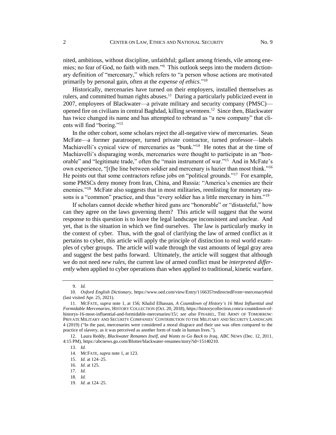nited, ambitious, without discipline, unfaithful; gallant among friends, vile among enemies; no fear of God, no faith with men."<sup>9</sup> This outlook seeps into the modern dictionary definition of "mercenary," which refers to "a person whose actions are motivated primarily by personal gain, often at the *expense of ethics*."<sup>10</sup>

Historically, mercenaries have turned on their employers, installed themselves as rulers, and committed human rights abuses.<sup>11</sup> During a particularly publicized event in 2007, employees of Blackwater—a private military and security company (PMSC) opened fire on civilians in central Baghdad, killing seventeen.<sup>12</sup> Since then, Blackwater has twice changed its name and has attempted to rebrand as "a new company" that clients will find "boring."<sup>13</sup>

In the other cohort, some scholars reject the all-negative view of mercenaries. Sean McFate—a former paratrooper, turned private contractor, turned professor—labels Machiavelli's cynical view of mercenaries as "bunk."<sup>14</sup> He notes that at the time of Machiavelli's disparaging words, mercenaries were thought to participate in an "honorable" and "legitimate trade," often the "main instrument of war."<sup>15</sup> And in McFate's own experience, "[t]he line between soldier and mercenary is hazier than most think."<sup>16</sup> He points out that some contractors refuse jobs on "political grounds."<sup>17</sup> For example, some PMSCs deny money from Iran, China, and Russia: "America's enemies are their enemies."<sup>18</sup> McFate also suggests that in most militaries, reenlisting for monetary reasons is a "common" practice, and thus "every soldier has a little mercenary in him."<sup>19</sup>

If scholars cannot decide whether hired guns are "honorable" or "distasteful," how can they agree on the laws governing them? This article will suggest that the worst response to this question is to leave the legal landscape inconsistent and unclear. And yet, that is the situation in which we find ourselves. The law is particularly murky in the context of cyber. Thus, with the goal of clarifying the law of armed conflict as it pertains to cyber, this article will apply the principle of distinction to real world examples of cyber groups. The article will wade through the vast amounts of legal gray area and suggest the best paths forward. Ultimately, the article will suggest that although we do not need *new rules*, the current law of armed conflict must be *interpreted differently* when applied to cyber operations than when applied to traditional, kinetic warfare.

<sup>9.</sup> *Id.*

<sup>10.</sup> *Oxford English Dictionary*, https://www.oed.com/view/Entry/116635?redirectedFrom=mercenary#eid (last visited Apr. 25, 2021).

<sup>11.</sup> MCFATE, *supra* note 1, at 156; Khalid Elhassan, *A Countdown of History's 16 Most Influential and Formidable Mercenaries*, HISTORY COLLECTION (Oct. 20, 2018), https://historycollection.com/a-countdown-ofhistorys-16-most-influential-and-formidable-mercenaries/15/; *see also* FINABEL, THE ARMY OF TOMORROW: PRIVATE MILITARY AND SECURITY COMPANIES' CONTRIBUTION TO THE MILITARY AND SECURITY LANDSCAPE 4 (2019) ("In the past, mercenaries were considered a moral disgrace and their use was often compared to the practice of slavery, as it was perceived as another form of trade in human lives.").

<sup>12.</sup> Laura Reddy, *Blackwater Renames Itself, and Wants to Go Back to Iraq*, ABC NEWS (Dec. 12, 2011, 4:15 PM), https://abcnews.go.com/Blotter/blackwater-renames/story?id=15140210.

<sup>13.</sup> *Id.*

<sup>14.</sup> MCFATE, *supra* note 1, at 123.

<sup>15.</sup> *Id.* at 124–25.

<sup>16.</sup> *Id.* at 125.

<sup>17.</sup> *Id.*

<sup>18.</sup> *Id.*

<sup>19.</sup> *Id.* at 124–25.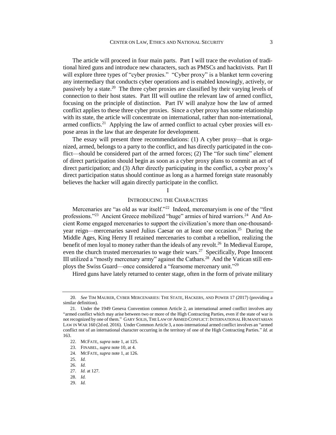The article will proceed in four main parts. Part I will trace the evolution of traditional hired guns and introduce new characters, such as PMSCs and hacktivists. Part II will explore three types of "cyber proxies." "Cyber proxy" is a blanket term covering any intermediary that conducts cyber operations and is enabled knowingly, actively, or passively by a state.<sup>20</sup> The three cyber proxies are classified by their varying levels of connection to their host states. Part III will outline the relevant law of armed conflict, focusing on the principle of distinction. Part IV will analyze how the law of armed conflict applies to these three cyber proxies. Since a cyber proxy has some relationship with its state, the article will concentrate on international, rather than non-international, armed conflicts.<sup>21</sup> Applying the law of armed conflict to actual cyber proxies will expose areas in the law that are desperate for development.

The essay will present three recommendations: (1) A cyber proxy—that is organized, armed, belongs to a party to the conflict, and has directly participated in the conflict—should be considered part of the armed forces; (2) The "for such time" element of direct participation should begin as soon as a cyber proxy plans to commit an act of direct participation; and (3) After directly participating in the conflict, a cyber proxy's direct participation status should continue as long as a harmed foreign state reasonably believes the hacker will again directly participate in the conflict.

## I

#### INTRODUCING THE CHARACTERS

Mercenaries are "as old as war itself."<sup>22</sup> Indeed, mercenaryism is one of the "first professions."<sup>23</sup> Ancient Greece mobilized "huge" armies of hired warriors.<sup>24</sup> And Ancient Rome engaged mercenaries to support the civilization's more than one-thousandyear reign—mercenaries saved Julius Caesar on at least one occasion.<sup>25</sup> During the Middle Ages, King Henry II retained mercenaries to combat a rebellion, realizing the benefit of men loyal to money rather than the ideals of any revolt.<sup>26</sup> In Medieval Europe, even the church trusted mercenaries to wage their wars.<sup>27</sup> Specifically, Pope Innocent III utilized a "mostly mercenary army" against the Cathars.<sup>28</sup> And the Vatican still employs the Swiss Guard—once considered a "fearsome mercenary unit."<sup>29</sup>

Hired guns have lately returned to center stage, often in the form of private military

<sup>20.</sup> *See* TIM MAURER, CYBER MERCENARIES: THE STATE, HACKERS, AND POWER 17 (2017) (providing a similar definition).

<sup>21.</sup> Under the 1949 Geneva Convention common Article 2, an international armed conflict involves any "armed conflict which may arise between two or more of the High Contracting Parties, even if the state of war is not recognized by one of them." GARY SOLIS, THE LAW OF ARMED CONFLICT: INTERNATIONAL HUMANITARIAN LAW IN WAR 160 (2d ed. 2016). Under Common Article 3, a non-international armed conflict involves an "armed conflict not of an international character occurring in the territory of one of the High Contracting Parties." *Id.* at 163.

<sup>22.</sup> MCFATE, *supra* note 1, at 125.

<sup>23.</sup> FINABEL, *supra* note 10, at 4.

<sup>24.</sup> MCFATE, *supra* note 1, at 126.

<sup>25.</sup> *Id.*

<sup>26.</sup> *Id.*

<sup>27.</sup> *Id.* at 127.

<sup>28.</sup> *Id.*

<sup>29.</sup> *Id.*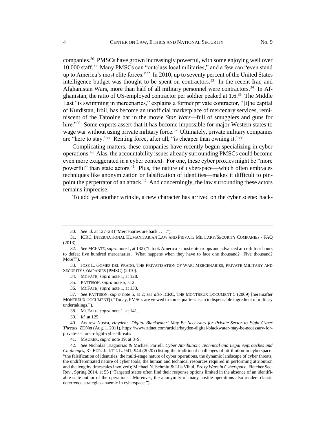companies. 30 PMSCs have grown increasingly powerful, with some enjoying well over 10,000 staff.<sup>31</sup> Many PMSCs can "outclass local militaries," and a few can "even stand up to America's most elite forces."<sup>32</sup> In 2010, up to seventy percent of the United States intelligence budget was thought to be spent on contractors.<sup>33</sup> In the recent Iraq and Afghanistan Wars, more than half of all military personnel were contractors.<sup>34</sup> In Afghanistan, the ratio of US-employed contractor per soldier peaked at 1.6.<sup>35</sup> The Middle East "is swimming in mercenaries," explains a former private contractor, "[t]he capital of Kurdistan, Irbil, has become an unofficial marketplace of mercenary services, reminiscent of the Tatooine bar in the movie *Star Wars*—full of smugglers and guns for hire."<sup>36</sup> Some experts assert that it has become impossible for major Western states to wage war without using private military force.<sup>37</sup> Ultimately, private military companies are "here to stay."<sup>38</sup> Renting force, after all, "is cheaper than owning it."<sup>39</sup>

Complicating matters, these companies have recently begun specializing in cyber operations.<sup>40</sup> Alas, the accountability issues already surrounding PMSCs could become even more exaggerated in a cyber context. For one, these cyber proxies might be "more powerful" than state actors.<sup>41</sup> Plus, the nature of cyberspace—which often embraces techniques like anonymization or falsification of identities—makes it difficult to pinpoint the perpetrator of an attack.<sup>42</sup> And concerningly, the law surrounding these actors remains imprecise.

To add yet another wrinkle, a new character has arrived on the cyber scene: hack-

<sup>30.</sup> *See id.* at 127–28 ("Mercenaries are back . . . .").

<sup>31.</sup> ICRC, INTERNATIONAL HUMANITARIAN LAW AND PRIVATE MILITARY/SECURITY COMPANIES - FAQ (2013).

<sup>32.</sup> *See* MCFATE, *supra* note 1, at 132 ("It took America's most elite troops and advanced aircraft four hours to defeat five hundred mercenaries. What happens when they have to face one thousand? Five thousand? More?").

<sup>33.</sup> JOSE L. GOMEZ DEL PRADO, THE PRIVATIZATION OF WAR: MERCENARIES, PRIVATE MILITARY AND SECURITY COMPANIES (PMSC) (2010).

<sup>34.</sup> MCFATE, *supra* note 1, at 128.

<sup>35.</sup> PATTISON, *supra* note 5, at 2.

<sup>36.</sup> MCFATE, *supra* note 1, at 133.

<sup>37.</sup> *See* PATTISON, *supra* note 5, at 2; *see also* ICRC, THE MONTREUX DOCUMENT 5 (2009) [hereinafter MONTREUX DOCUMENT] ("Today, PMSCs are viewed in some quarters as an indispensable ingredient of military undertakings.").

<sup>38.</sup> MCFATE, *supra* note 1, at 141.

<sup>39.</sup> *Id.* at 125.

<sup>40.</sup> Andrew Nusca, *Hayden: 'Digital Blackwater' May Be Necessary for Private Sector to Fight Cyber Threats*, ZDNet (Aug. 1, 2011), https://www.zdnet.com/article/hayden-digital-blackwater-may-be-necessary-forprivate-sector-to-fight-cyber-threats/.

<sup>41.</sup> MAURER, *supra* note 19, at 8–9.

<sup>42.</sup> *See* Nicholas Tsagourias & Michael Farrell, *Cyber Attribution: Technical and Legal Approaches and Challenges*, 31 EUR. J. INT'L L. 941, 944 (2020) (listing the traditional challenges of attribution in cyberspace: "the falsification of identities, the multi-stage nature of cyber operations, the dynamic landscape of cyber threats, the undifferentiated nature of cyber tools, the human and technical resources required in performing attribution and the lengthy timescales involved); Michael N. Schmitt & Liis Vihul, *Proxy Wars in Cyberspace*, Fletcher Sec. Rev., Spring 2014, at 55 ("Targeted states often find their response options limited in the absence of an identifiable state author of the operations. Moreover, the anonymity of many hostile operations also renders classic deterrence strategies anaemic in cyberspace.").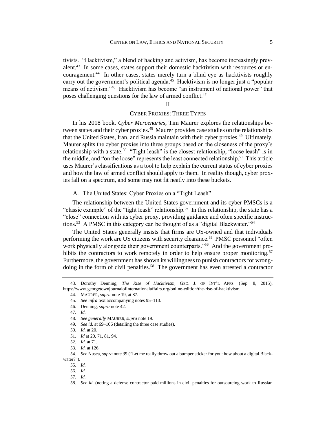tivists. "Hacktivism," a blend of hacking and activism, has become increasingly prevalent.<sup>43</sup> In some cases, states support their domestic hacktivism with resources or encouragement.<sup>44</sup> In other cases, states merely turn a blind eye as hacktivists roughly carry out the government's political agenda.<sup>45</sup> Hacktivism is no longer just a "popular means of activism."<sup>46</sup> Hacktivism has become "an instrument of national power" that poses challenging questions for the law of armed conflict.<sup>47</sup>

#### II

# CYBER PROXIES: THREE TYPES

In his 2018 book, *Cyber Mercenaries*, Tim Maurer explores the relationships between states and their cyber proxies.<sup>48</sup> Maurer provides case studies on the relationships that the United States, Iran, and Russia maintain with their cyber proxies.<sup>49</sup> Ultimately, Maurer splits the cyber proxies into three groups based on the closeness of the proxy's relationship with a state.<sup>50</sup> "Tight leash" is the closest relationship, "loose leash" is in the middle, and "on the loose" represents the least connected relationship.<sup>51</sup> This article uses Maurer's classifications as a tool to help explain the current status of cyber proxies and how the law of armed conflict should apply to them. In reality though, cyber proxies fall on a spectrum, and some may not fit neatly into these buckets.

A. The United States: Cyber Proxies on a "Tight Leash"

The relationship between the United States government and its cyber PMSCs is a "classic example" of the "tight leash" relationship.<sup>52</sup> In this relationship, the state has a "close" connection with its cyber proxy, providing guidance and often specific instructions.<sup>53</sup> A PMSC in this category can be thought of as a "digital Blackwater."<sup>54</sup>

The United States generally insists that firms are US-owned and that individuals performing the work are US citizens with security clearance.<sup>55</sup> PMSC personnel "often work physically alongside their government counterparts."<sup>56</sup> And the government prohibits the contractors to work remotely in order to help ensure proper monitoring.<sup>57</sup> Furthermore, the government has shown its willingness to punish contractors for wrongdoing in the form of civil penalties.<sup>58</sup> The government has even arrested a contractor

<sup>43.</sup> Dorothy Denning, *The Rise of Hacktivism*, GEO. J. OF INT'L AFFS. (Sep. 8, 2015), https://www.georgetownjournalofinternationalaffairs.org/online-edition/the-rise-of-hacktivism.

<sup>44.</sup> MAURER, *supra* note 19, at 87.

<sup>45.</sup> *See infra* text accompanying notes 95–113.

<sup>46.</sup> Denning, *supra* note 42.

<sup>47.</sup> *Id.*

<sup>48.</sup> *See generally* MAURER, *supra* note 19.

<sup>49.</sup> *See id.* at 69–106 (detailing the three case studies).

<sup>50.</sup> *Id.* at 20.

<sup>51.</sup> *Id* at 20, 71, 81, 94.

<sup>52.</sup> *Id.* at 71.

<sup>53.</sup> *Id.* at 126.

<sup>54.</sup> *See* Nusca, *supra* note 39 ("Let me really throw out a bumper sticker for you: how about a digital Blackwater?").

<sup>55.</sup> *Id.*

<sup>56.</sup> *Id.*

<sup>57.</sup> *Id.*

<sup>58.</sup> *See id.* (noting a defense contractor paid millions in civil penalties for outsourcing work to Russian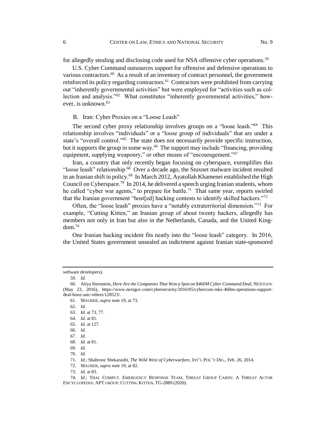for allegedly stealing and disclosing code used for NSA offensive cyber operations.<sup>59</sup>

U.S. Cyber Command outsources support for offensive and defensive operations to various contractors.<sup>60</sup> As a result of an inventory of contract personnel, the government reinforced its policy regarding contractors.<sup>61</sup> Contractors were prohibited from carrying out "inherently governmental activities" but were employed for "activities such as collection and analysis."<sup>62</sup> What constitutes "inherently governmental activities," however, is unknown.<sup>63</sup>

B. Iran: Cyber Proxies on a "Loose Leash"

The second cyber proxy relationship involves groups on a "loose leash."<sup>64</sup> This relationship involves "individuals" or a "loose group of individuals" that are under a state's "overall control."<sup>65</sup> The state does not necessarily provide specific instruction, but it supports the group in some way.<sup>66</sup> The support may include "financing, providing equipment, supplying weaponry," or other means of "encouragement."<sup>67</sup>

Iran, a country that only recently began focusing on cyberspace, exemplifies this "loose leash" relationship.<sup>68</sup> Over a decade ago, the Stuxnet malware incident resulted in an Iranian shift in policy.<sup>69</sup> In March 2012, Ayatollah Khamenei established the High Council on Cyberspace.<sup>70</sup> In 2014, he delivered a speech urging Iranian students, whom he called "cyber war agents," to prepare for battle.<sup>71</sup> That same year, reports swirled that the Iranian government "host[ed] hacking contests to identify skilled hackers."<sup>72</sup>

Often, the "loose leash" proxies have a "notably extraterritorial dimension."<sup>73</sup> For example, "Cutting Kitten," an Iranian group of about twenty hackers, allegedly has members not only in Iran but also in the Netherlands, Canada, and the United Kingdom.<sup>74</sup>

One Iranian hacking incident fits neatly into the "loose leash" category. In 2016, the United States government unsealed an indictment against Iranian state-sponsored

software developers).

<sup>59.</sup> *Id.*

<sup>60.</sup> Aliya Sternstein, *Here Are the Companies That Won a Spot on \$460M Cyber Command Deal*, NEXTGOV (May 23, 2016), https://www.nextgov.com/cybersecurity/2016/05/cybercom-inks-460m-operations-supportdeal-booz-saic-others/128523/.

<sup>61.</sup> MAURER, *supra* note 19, at 73.

<sup>62.</sup> *Id.*

<sup>63.</sup> *Id.* at 73, 77.

<sup>64.</sup> *Id.* at 81.

<sup>65.</sup> *Id.* at 127.

<sup>66.</sup> *Id.*

<sup>67.</sup> *Id.*

<sup>68.</sup> *Id.* at 81.

<sup>69.</sup> *Id.*

<sup>70.</sup> *Id.*

<sup>71.</sup> *Id.*; Shahrooz Shekaraubi, *The Wild West of Cyberwarfare*, INT'L POL'Y DIG., Feb. 26, 2014.

<sup>72.</sup> MAURER, *supra* note 19, at 82.

<sup>73.</sup> *Id.* at 83.

<sup>74.</sup> *Id.*; THAI. COMPUT. EMERGENCY RESPONSE TEAM, THREAT GROUP CARDS: A THREAT ACTOR ENCYCLOPEDIA: APT GROUP: CUTTING KITTEN, TG-2889 (2020).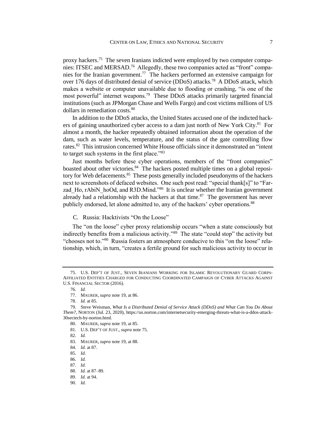proxy hackers.<sup>75</sup> The seven Iranians indicted were employed by two computer companies: ITSEC and MERSAD.<sup>76</sup> Allegedly, these two companies acted as "front" companies for the Iranian government.<sup>77</sup> The hackers performed an extensive campaign for over 176 days of distributed denial of service (DDoS) attacks.<sup>78</sup> A DDoS attack, which makes a website or computer unavailable due to flooding or crashing, "is one of the most powerful" internet weapons.<sup>79</sup> These DDoS attacks primarily targeted financial institutions (such as JPMorgan Chase and Wells Fargo) and cost victims millions of US dollars in remediation costs.<sup>80</sup>

In addition to the DDoS attacks, the United States accused one of the indicted hackers of gaining unauthorized cyber access to a dam just north of New York City.<sup>81</sup> For almost a month, the hacker repeatedly obtained information about the operation of the dam, such as water levels, temperature, and the status of the gate controlling flow rates.<sup>82</sup> This intrusion concerned White House officials since it demonstrated an "intent to target such systems in the first place."<sup>83</sup>

Just months before these cyber operations, members of the "front companies" boasted about other victories.<sup>84</sup> The hackers posted multiple times on a global repository for Web defacements.<sup>85</sup> These posts generally included pseudonyms of the hackers next to screenshots of defaced websites. One such post read: "special thank[s]" to "Farzad Ho, rAbiN hoOd, and R3D.Mind."<sup>86</sup> It is unclear whether the Iranian government already had a relationship with the hackers at that time. $87$  The government has never publicly endorsed, let alone admitted to, any of the hackers' cyber operations.<sup>88</sup>

C. Russia: Hacktivists "On the Loose"

The "on the loose" cyber proxy relationship occurs "when a state consciously but indirectly benefits from a malicious activity."<sup>89</sup> The state "could stop" the activity but "chooses not to."<sup>90</sup> Russia fosters an atmosphere conducive to this "on the loose" relationship, which, in turn, "creates a fertile ground for such malicious activity to occur in

81. U.S. DEP'T OF JUST., *supra* note 75.

85. *Id.*

<sup>75.</sup> U.S. DEP'T OF JUST., SEVEN IRANIANS WORKING FOR ISLAMIC REVOLUTIONARY GUARD CORPS-AFFILIATED ENTITIES CHARGED FOR CONDUCTING COORDINATED CAMPAIGN OF CYBER ATTACKS AGAINST U.S. FINANCIAL SECTOR (2016).

<sup>76.</sup> *Id.*

<sup>77.</sup> MAURER, *supra* note 19, at 86.

<sup>78.</sup> *Id.* at 85.

<sup>79.</sup> Steve Weisman, *What Is a Distributed Denial of Service Attack (DDoS) and What Can You Do About Them?*, NORTON (Jul. 23, 2020), https://us.norton.com/internetsecurity-emerging-threats-what-is-a-ddos-attack-30sectech-by-norton.html.

<sup>80.</sup> MAURER, *supra* note 19, at 85.

<sup>82.</sup> *Id.*

<sup>83.</sup> MAURER, *supra* note 19, at 88.

<sup>84.</sup> *Id.* at 87.

<sup>86.</sup> *Id.*

<sup>87.</sup> *Id.*

<sup>88.</sup> *Id.* at 87–89.

<sup>89.</sup> *Id.* at 94.

<sup>90.</sup> *Id.*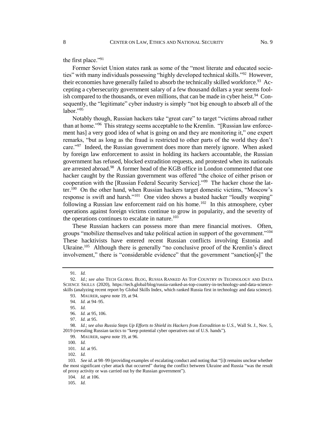the first place."<sup>91</sup>

Former Soviet Union states rank as some of the "most literate and educated societies" with many individuals possessing "highly developed technical skills."<sup>92</sup> However, their economies have generally failed to absorb the technically skilled workforce.<sup>93</sup> Accepting a cybersecurity government salary of a few thousand dollars a year seems foolish compared to the thousands, or even millions, that can be made in cyber heist.<sup>94</sup> Consequently, the "legitimate" cyber industry is simply "not big enough to absorb all of the labor."<sup>95</sup>

Notably though, Russian hackers take "great care" to target "victims abroad rather than at home."<sup>96</sup> This strategy seems acceptable to the Kremlin. "[Russian law enforcement has] a very good idea of what is going on and they are monitoring it," one expert remarks, "but as long as the fraud is restricted to other parts of the world they don't care."<sup>97</sup> Indeed, the Russian government does more than merely ignore. When asked by foreign law enforcement to assist in holding its hackers accountable, the Russian government has refused, blocked extradition requests, and protested when its nationals are arrested abroad.<sup>98</sup> A former head of the KGB office in London commented that one hacker caught by the Russian government was offered "the choice of either prison or cooperation with the [Russian Federal Security Service]."<sup>99</sup> The hacker chose the latter.<sup>100</sup> On the other hand, when Russian hackers target domestic victims, "Moscow's response is swift and harsh."<sup>101</sup> One video shows a busted hacker "loudly weeping" following a Russian law enforcement raid on his home.<sup>102</sup> In this atmosphere, cyber operations against foreign victims continue to grow in popularity, and the severity of the operations continues to escalate in nature.<sup>103</sup>

These Russian hackers can possess more than mere financial motives. Often, groups "mobilize themselves and take political action in support of the government."<sup>104</sup> These hacktivists have entered recent Russian conflicts involving Estonia and Ukraine.<sup>105</sup> Although there is generally "no conclusive proof of the Kremlin's direct involvement," there is "considerable evidence" that the government "sanction[s]" the

102. *Id.*

105. *Id.*

<sup>91.</sup> *Id.*

<sup>92.</sup> *Id.*; *see also* TECH GLOBAL BLOG, RUSSIA RANKED AS TOP COUNTRY IN TECHNOLOGY AND DATA SCIENCE SKILLS (2020), https://tech.global/blog/russia-ranked-as-top-country-in-technology-and-data-scienceskills (analyzing recent report by Global Skills Index, which ranked Russia first in technology and data science).

<sup>93.</sup> MAURER, *supra* note 19, at 94.

<sup>94.</sup> *Id.* at 94–95.

<sup>95.</sup> *Id.*

<sup>96.</sup> *Id.* at 95, 106.

<sup>97.</sup> *Id.* at 95.

<sup>98.</sup> *Id.*; *see also Russia Steps Up Efforts to Shield its Hackers from Extradition to U.S.*, Wall St. J., Nov. 5, 2019 (revealing Russian tactics to "keep potential cyber operatives out of U.S. hands").

<sup>99.</sup> MAURER, *supra* note 19, at 96.

<sup>100.</sup> *Id.*

<sup>101.</sup> *Id.* at 95.

<sup>103.</sup> *See id.* at 98–99 (providing examples of escalating conduct and noting that "[i]t remains unclear whether the most significant cyber attack that occurred" during the conflict between Ukraine and Russia "was the result of proxy activity or was carried out by the Russian government").

<sup>104.</sup> *Id.* at 106.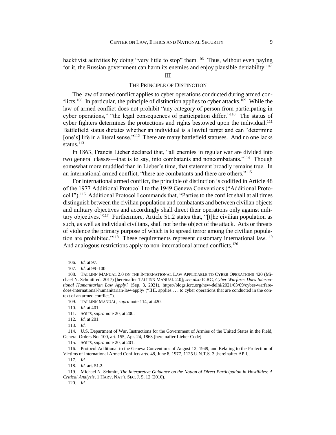hacktivist activities by doing "very little to stop" them.<sup>106</sup> Thus, without even paying for it, the Russian government can harm its enemies and enjoy plausible deniability.<sup>107</sup>

III

## THE PRINCIPLE OF DISTINCTION

The law of armed conflict applies to cyber operations conducted during armed conflicts.<sup>108</sup> In particular, the principle of distinction applies to cyber attacks.<sup>109</sup> While the law of armed conflict does not prohibit "any category of person from participating in cyber operations," "the legal consequences of participation differ."<sup>110</sup> The status of cyber fighters determines the protections and rights bestowed upon the individual.<sup>111</sup> Battlefield status dictates whether an individual is a lawful target and can "determine [one's] life in a literal sense."<sup>112</sup> There are many battlefield statuses. And no one lacks status.<sup>113</sup>

In 1863, Francis Lieber declared that, "all enemies in regular war are divided into two general classes—that is to say, into combatants and noncombatants."<sup>114</sup> Though somewhat more muddled than in Lieber's time, that statement broadly remains true. In an international armed conflict, "there are combatants and there are others."<sup>115</sup>

For international armed conflict, the principle of distinction is codified in Article 48 of the 1977 Additional Protocol I to the 1949 Geneva Conventions ("Additional Protocol I").<sup>116</sup> Additional Protocol I commands that, "Parties to the conflict shall at all times distinguish between the civilian population and combatants and between civilian objects and military objectives and accordingly shall direct their operations only against military objectives."<sup>117</sup> Furthermore, Article 51.2 states that, "[t]he civilian population as such, as well as individual civilians, shall not be the object of the attack. Acts or threats of violence the primary purpose of which is to spread terror among the civilian population are prohibited."<sup>118</sup> These requirements represent customary international law.<sup>119</sup> And analogous restrictions apply to non-international armed conflicts.<sup>120</sup>

<sup>106.</sup> *Id.* at 97.

<sup>107.</sup> *Id.* at 99–100.

<sup>108.</sup> TALLINN MANUAL 2.0 ON THE INTERNATIONAL LAW APPLICABLE TO CYBER OPERATIONS 420 (Michael N. Schmitt ed. 2017) [hereinafter TALLINN MANUAL 2.0]; *see also* ICRC, *Cyber Warfare: Does International Humanitarian Law Apply?* (Sep. 3, 2021), https://blogs.icrc.org/new-delhi/2021/03/09/cyber-warfaredoes-international-humanitarian-law-apply/ ("IHL applies . . . to cyber operations that are conducted in the context of an armed conflict.").

<sup>109.</sup> TALLINN MANUAL, *supra* note 114, at 420.

<sup>110.</sup> *Id.* at 401.

<sup>111.</sup> SOLIS, *supra* note 20, at 200.

<sup>112.</sup> *Id.* at 201.

<sup>113.</sup> *Id.*

<sup>114.</sup> U.S. Department of War, Instructions for the Government of Armies of the United States in the Field, General Orders No. 100, art. 155, Apr. 24, 1863 [hereinafter Lieber Code].

<sup>115.</sup> SOLIS, *supra* note 20, at 201.

<sup>116.</sup> Protocol Additional to the Geneva Conventions of August 12, 1949, and Relating to the Protection of Victims of International Armed Conflicts arts. 48, June 8, 1977, 1125 U.N.T.S. 3 [hereinafter AP I].

<sup>117.</sup> *Id.*

<sup>118.</sup> *Id.* art. 51.2.

<sup>119.</sup> Michael N. Schmitt, *The Interpretive Guidance on the Notion of Direct Participation in Hostilities: A Critical Analysis*, 1 HARV. NAT'L SEC. J. 5, 12 (2010).

<sup>120.</sup> *Id.*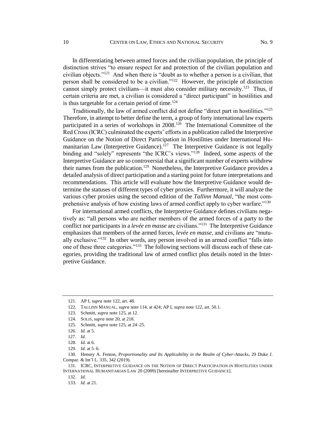In differentiating between armed forces and the civilian population, the principle of distinction strives "to ensure respect for and protection of the civilian population and civilian objects."<sup>121</sup> And when there is "doubt as to whether a person is a civilian, that person shall be considered to be a civilian."<sup>122</sup> However, the principle of distinction cannot simply protect civilians—it must also consider military necessity.<sup>123</sup> Thus, if certain criteria are met, a civilian is considered a "direct participant" in hostilities and is thus targetable for a certain period of time. $124$ 

Traditionally, the law of armed conflict did not define "direct part in hostilities."<sup>125</sup> Therefore, in attempt to better define the term, a group of forty international law experts participated in a series of workshops in 2008.<sup>126</sup> The International Committee of the Red Cross (ICRC) culminated the experts' efforts in a publication called the Interpretive Guidance on the Notion of Direct Participation in Hostilities under International Humanitarian Law (Interpretive Guidance).<sup>127</sup> The Interpretive Guidance is not legally binding and "solely" represents "the ICRC's views."<sup>128</sup> Indeed, some aspects of the Interpretive Guidance are so controversial that a significant number of experts withdrew their names from the publication.<sup>129</sup> Nonetheless, the Interpretive Guidance provides a detailed analysis of direct participation and a starting point for future interpretations and recommendations. This article will evaluate how the Interpretive Guidance would determine the statuses of different types of cyber proxies. Furthermore, it will analyze the various cyber proxies using the second edition of the *Tallinn Manual*, "the most comprehensive analysis of how existing laws of armed conflict apply to cyber warfare."<sup>130</sup>

For international armed conflicts, the Interpretive Guidance defines civilians negatively as: "all persons who are neither members of the armed forces of a party to the conflict nor participants in a *levée en masse* are civilians."<sup>131</sup> The Interpretive Guidance emphasizes that members of the armed forces, *levée en masse*, and civilians are "mutually exclusive."<sup>132</sup> In other words, any person involved in an armed conflict "falls into one of these three categories."<sup>133</sup> The following sections will discuss each of these categories, providing the traditional law of armed conflict plus details noted in the Interpretive Guidance.

133. *Id.* at 21.

<sup>121.</sup> AP I, *supra* note 122, art. 48.

<sup>122.</sup> TALLINN MANUAL, *supra* note 114, at 424; AP I, *supra* note 122, art. 50.1.

<sup>123.</sup> Schmitt, *supra* note 125, at 12.

<sup>124.</sup> SOLIS, *supra* note 20, at 218.

<sup>125.</sup> Schmitt, *supra* note 125, at 24–25.

<sup>126.</sup> *Id.* at 5.

<sup>127.</sup> *Id.*

<sup>128.</sup> *Id.* at 6.

<sup>129.</sup> *Id.* at 5–6.

<sup>130.</sup> Hensey A. Fenton, *Proportionality and Its Applicability in the Realm of Cyber-Attacks*, 29 Duke J. Compar. & Int'l L. 335, 342 (2019).

<sup>131.</sup> ICRC, INTERPRETIVE GUIDANCE ON THE NOTION OF DIRECT PARTICIPATION IN HOSTILITIES UNDER INTERNATIONAL HUMANITARIAN LAW 20 (2009) [hereinafter INTERPRETIVE GUIDANCE].

<sup>132.</sup> *Id.*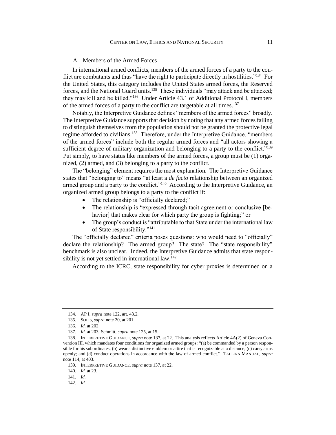# A. Members of the Armed Forces

In international armed conflicts, members of the armed forces of a party to the conflict are combatants and thus "have the right to participate directly in hostilities."<sup>134</sup> For the United States, this category includes the United States armed forces, the Reserved forces, and the National Guard units.<sup>135</sup> These individuals "may attack and be attacked; they may kill and be killed."<sup>136</sup> Under Article 43.1 of Additional Protocol I, members of the armed forces of a party to the conflict are targetable at all times.<sup>137</sup>

Notably, the Interpretive Guidance defines "members of the armed forces" broadly. The Interpretive Guidance supports that decision by noting that any armed forces failing to distinguish themselves from the population should not be granted the protective legal regime afforded to civilians.<sup>138</sup> Therefore, under the Interpretive Guidance, "members of the armed forces" include both the regular armed forces and "all actors showing a sufficient degree of military organization and belonging to a party to the conflict."<sup>139</sup> Put simply, to have status like members of the armed forces, a group must be (1) organized, (2) armed, and (3) belonging to a party to the conflict.

The "belonging" element requires the most explanation. The Interpretive Guidance states that "belonging to" means "at least a *de facto* relationship between an organized armed group and a party to the conflict."<sup>140</sup> According to the Interpretive Guidance, an organized armed group belongs to a party to the conflict if:

- The relationship is "officially declared;"
- The relationship is "expressed through tacit agreement or conclusive [behavior] that makes clear for which party the group is fighting;" or
- The group's conduct is "attributable to that State under the international law of State responsibility."<sup>141</sup>

The "officially declared" criteria poses questions: who would need to "officially" declare the relationship? The armed group? The state? The "state responsibility" benchmark is also unclear. Indeed, the Interpretive Guidance admits that state responsibility is not yet settled in international law.<sup>142</sup>

According to the ICRC, state responsibility for cyber proxies is determined on a

<sup>134.</sup> AP I, *supra* note 122, art. 43.2.

<sup>135.</sup> SOLIS, *supra* note 20, at 201.

<sup>136.</sup> *Id.* at 202.

<sup>137.</sup> *Id.* at 203; Schmitt, *supra* note 125, at 15.

<sup>138.</sup> INTERPRETIVE GUIDANCE, *supra* note 137, at 22. This analysis reflects Article 4A(2) of Geneva Convention III, which mandates four conditions for organized armed groups: "(a) be commanded by a person responsible for his subordinates; (b) wear a distinctive emblem or attire that is recognizable at a distance; (c) carry arms openly; and (d) conduct operations in accordance with the law of armed conflict." TALLINN MANUAL, *supra*  note 114, at 403.

<sup>139.</sup> INTERPRETIVE GUIDANCE, *supra* note 137, at 22.

<sup>140.</sup> *Id.* at 23.

<sup>141.</sup> *Id.*

<sup>142.</sup> *Id.*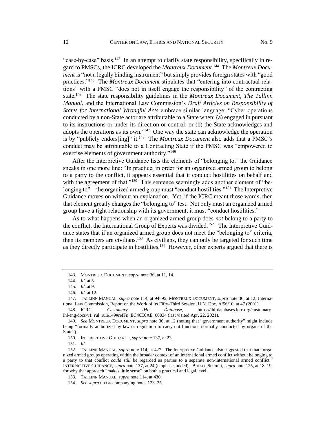"case-by-case" basis.<sup>143</sup> In an attempt to clarify state responsibility, specifically in regard to PMSCs, the ICRC developed the Montreux Document.<sup>144</sup> The Montreux Docu*ment* is "not a legally binding instrument" but simply provides foreign states with "good practices."<sup>145</sup> The *Montreux Document* stipulates that "entering into contractual relations" with a PMSC "does not in itself engage the responsibility" of the contracting state.<sup>146</sup> The state responsibility guidelines in the *Montreux Document*, *The Tallinn Manual*, and the International Law Commission's *Draft Articles on Responsibility of States for International Wrongful Acts* embrace similar language: "Cyber operations conducted by a non-State actor are attributable to a State when: (a) engaged in pursuant to its instructions or under its direction or control; or (b) the State acknowledges and adopts the operations as its own."<sup>147</sup> One way the state can acknowledge the operation is by "publicly endors[ing]" it.<sup>148</sup> The *Montreux Document* also adds that a PMSC's conduct may be attributable to a Contracting State if the PMSC was "empowered to exercise elements of government authority."<sup>149</sup>

After the Interpretive Guidance lists the elements of "belonging to," the Guidance sneaks in one more line: "In practice, in order for an organized armed group to belong to a party to the conflict, it appears essential that it conduct hostilities on behalf and with the agreement of that."<sup>150</sup> This sentence seemingly adds another element of "belonging to"—the organized armed group must "conduct hostilities."<sup>151</sup> The Interpretive Guidance moves on without an explanation. Yet, if the ICRC meant those words, then that element greatly changes the "belonging to" test. Not only must an organized armed group have a tight relationship with its government, it must "conduct hostilities."

As to what happens when an organized armed group does *not* belong to a party to the conflict, the International Group of Experts was divided.<sup>152</sup> The Interpretive Guidance states that if an organized armed group does not meet the "belonging to" criteria, then its members are civilians.<sup>153</sup> As civilians, they can only be targeted for such time as they directly participate in hostilities.<sup>154</sup> However, other experts argued that there is

<sup>143.</sup> MONTREUX DOCUMENT, *supra* note 36, at 11, 14.

<sup>144.</sup> *Id.* at 5.

<sup>145.</sup> *Id.* at 9.

<sup>146.</sup> *Id.* at 12.

<sup>147.</sup> TALLINN MANUAL, *supra* note 114, at 94–95; MONTREUX DOCUMENT, *supra* note 36, at 12; International Law Commission, Report on the Work of its Fifty-Third Session, U.N. Doc. A/56/10, at 47 (2001).

<sup>148.</sup> ICRC, *Customary IHL Database*, https://ihl-databases.icrc.org/customaryihl/eng/docs/v1\_rul\_rule149#refFn\_EC46E6AE\_00034 (last visited Apr. 22, 2021).

<sup>149.</sup> *See* MONTREUX DOCUMENT, *supra* note 36, at 12 (noting that "government authority" might include being "formally authorized by law or regulation to carry out functions normally conducted by organs of the State").

<sup>150.</sup> INTERPRETIVE GUIDANCE, *supra* note 137, at 23.

<sup>151.</sup> *Id.*

<sup>152.</sup> TALLINN MANUAL, *supra* note 114, at 427. The Interpretive Guidance also suggested that that "organized armed groups operating within the broader context of an international armed conflict without belonging to a party to that conflict *could still* be regarded as parties to a separate non-international armed conflict." INTERPRETIVE GUIDANCE, *supra* note 137, at 24 (emphasis added). But see Schmitt, *supra* note 125, at 18–19, for why that approach "makes little sense" on both a practical and legal level.

<sup>153.</sup> TALLINN MANUAL, *supra* note 114, at 430.

<sup>154.</sup> *See supra* text accompanying notes 123–25.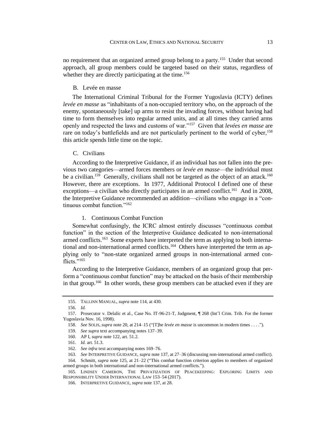no requirement that an organized armed group belong to a party.<sup>155</sup> Under that second approach, all group members could be targeted based on their status, regardless of whether they are directly participating at the time.<sup>156</sup>

# B. Levée en masse

The International Criminal Tribunal for the Former Yugoslavia (ICTY) defines *levée en masse* as "inhabitants of a non-occupied territory who, on the approach of the enemy, spontaneously [take] up arms to resist the invading forces, without having had time to form themselves into regular armed units, and at all times they carried arms openly and respected the laws and customs of war."<sup>157</sup> Given that *levées en masse* are rare on today's battlefields and are not particularly pertinent to the world of cyber,<sup>158</sup> this article spends little time on the topic.

### C. Civilians

According to the Interpretive Guidance, if an individual has not fallen into the previous two categories—armed forces members or *levée en masse*—the individual must be a civilian.<sup>159</sup> Generally, civilians shall not be targeted as the object of an attack.<sup>160</sup> However, there are exceptions. In 1977, Additional Protocol I defined one of these exceptions—a civilian who directly participates in an armed conflict.<sup>161</sup> And in 2008, the Interpretive Guidance recommended an addition—civilians who engage in a "continuous combat function."<sup>162</sup>

# 1. Continuous Combat Function

Somewhat confusingly, the ICRC almost entirely discusses "continuous combat function" in the section of the Interpretive Guidance dedicated to non-international armed conflicts.<sup>163</sup> Some experts have interpreted the term as applying to both international and non-international armed conflicts.<sup>164</sup> Others have interpreted the term as applying only to "non-state organized armed groups in non-international armed conflicts."<sup>165</sup>

According to the Interpretive Guidance, members of an organized group that perform a "continuous combat function" may be attacked on the basis of their membership in that group.<sup>166</sup> In other words, these group members can be attacked even if they are

<sup>155.</sup> TALLINN MANUAL, *supra* note 114, at 430.

<sup>156.</sup> *Id.*

<sup>157.</sup> Prosecutor v. Delalíc et al., Case No. IT-96-21-T, Judgment, ¶ 268 (Int'l Crim. Trib. For the former Yugoslavia Nov. 16, 1998).

<sup>158.</sup> *See* SOLIS, *supra* note 20, at 214–15 ("[T]he *levée en masse* is uncommon in modern times . . . .").

<sup>159.</sup> *See supra* text accompanying notes 137–39.

<sup>160.</sup> AP I, *supra* note 122, art. 51.2.

<sup>161.</sup> *Id.* art. 51.3.

<sup>162.</sup> *See infra* text accompanying notes 169–76.

<sup>163.</sup> *See* INTERPRETIVE GUIDANCE, *supra* note 137, at 27–36 (discussing non-international armed conflict).

<sup>164.</sup> Schmitt, *supra* note 125, at 21–22 ("This combat function criterion applies to members of organized armed groups in both international and non-international armed conflicts.").

<sup>165.</sup> LINDSEY CAMERON, THE PRIVATIZATION OF PEACEKEEPING: EXPLORING LIMITS AND RESPONSIBILITY UNDER INTERNATIONAL LAW 153–54 (2017).

<sup>166.</sup> INTERPRETIVE GUIDANCE, *supra* note 137, at 28.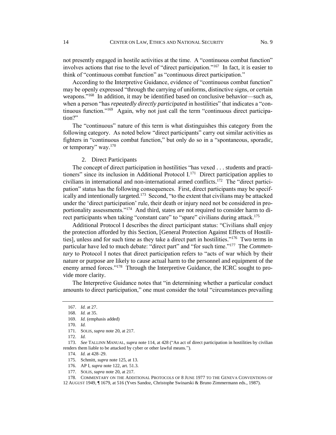not presently engaged in hostile activities at the time. A "continuous combat function" involves actions that rise to the level of "direct participation."<sup>167</sup> In fact, it is easier to think of "continuous combat function" as "continuous direct participation."

According to the Interpretive Guidance, evidence of "continuous combat function" may be openly expressed "through the carrying of uniforms, distinctive signs, or certain weapons."<sup>168</sup> In addition, it may be identified based on conclusive behavior—such as, when a person "has *repeatedly directly participated* in hostilities" that indicates a "continuous function."<sup>169</sup> Again, why not just call the term "continuous direct participation?"

The "continuous" nature of this term is what distinguishes this category from the following category. As noted below "direct participants" carry out similar activities as fighters in "continuous combat function," but only do so in a "spontaneous, sporadic, or temporary" way.<sup>170</sup>

## 2. Direct Participants

The concept of direct participation in hostilities "has vexed . . . students and practitioners" since its inclusion in Additional Protocol I.<sup>171</sup> Direct participation applies to civilians in international and non-international armed conflicts.<sup>172</sup> The "direct participation" status has the following consequences. First, direct participants may be specifically and intentionally targeted.<sup>173</sup> Second, "to the extent that civilians may be attacked under the 'direct participation' rule, their death or injury need not be considered in proportionality assessments."<sup>174</sup> And third, states are not required to consider harm to direct participants when taking "constant care" to "spare" civilians during attack.<sup>175</sup>

Additional Protocol I describes the direct participant status: "Civilians shall enjoy the protection afforded by this Section, [General Protection Against Effects of Hostilities], unless and for such time as they take a direct part in hostilities."<sup>176</sup> Two terms in particular have led to much debate: "direct part" and "for such time."<sup>177</sup> The *Commentary* to Protocol I notes that direct participation refers to "acts of war which by their nature or purpose are likely to cause actual harm to the personnel and equipment of the enemy armed forces."<sup>178</sup> Through the Interpretive Guidance, the ICRC sought to provide more clarity.

The Interpretive Guidance notes that "in determining whether a particular conduct amounts to direct participation," one must consider the total "circumstances prevailing

177. SOLIS, *supra* note 20, at 217.

178. COMMENTARY ON THE ADDITIONAL PROTOCOLS OF 8 JUNE 1977 TO THE GENEVA CONVENTIONS OF

12 AUGUST 1949, ¶ 1679, at 516 (Yves Sandoz, Christophe Swinarski & Bruno Zimmermann eds., 1987).

<sup>167.</sup> *Id.* at 27.

<sup>168.</sup> *Id.* at 35.

<sup>169.</sup> *Id.* (emphasis added)

<sup>170.</sup> *Id.*

<sup>171.</sup> SOLIS, *supra* note 20, at 217.

<sup>172.</sup> *Id.*

<sup>173.</sup> *See* TALLINN MANUAL, *supra* note 114, at 428 ("An act of direct participation in hostilities by civilian renders them liable to be attacked by cyber or other lawful means.").

<sup>174.</sup> *Id.* at 428–29.

<sup>175.</sup> Schmitt, *supra* note 125, at 13.

<sup>176.</sup> AP I, *supra* note 122, art. 51.3.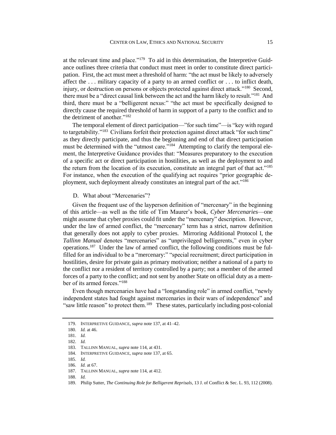at the relevant time and place."<sup>179</sup> To aid in this determination, the Interpretive Guidance outlines three criteria that conduct must meet in order to constitute direct participation. First, the act must meet a threshold of harm: "the act must be likely to adversely affect the . . . military capacity of a party to an armed conflict or . . . to inflict death, injury, or destruction on persons or objects protected against direct attack."<sup>180</sup> Second, there must be a "direct causal link between the act and the harm likely to result."<sup>181</sup> And third, there must be a "belligerent nexus:" "the act must be specifically designed to directly cause the required threshold of harm in support of a party to the conflict and to the detriment of another."<sup>182</sup>

The temporal element of direct participation—"for such time"—is "key with regard to targetability."<sup>183</sup> Civilians forfeit their protection against direct attack "for such time" as they directly participate, and thus the beginning and end of that direct participation must be determined with the "utmost care."<sup>184</sup> Attempting to clarify the temporal element, the Interpretive Guidance provides that: "Measures preparatory to the execution of a specific act or direct participation in hostilities, as well as the deployment to and the return from the location of its execution, constitute an integral part of that act."<sup>185</sup> For instance, when the execution of the qualifying act requires "prior geographic deployment, such deployment already constitutes an integral part of the act."<sup>186</sup>

#### D. What about "Mercenaries"?

Given the frequent use of the layperson definition of "mercenary" in the beginning of this article—as well as the title of Tim Maurer's book, *Cyber Mercenaries*—one might assume that cyber proxies could fit under the "mercenary" description. However, under the law of armed conflict, the "mercenary" term has a strict, narrow definition that generally does not apply to cyber proxies. Mirroring Additional Protocol I, the *Tallinn Manual* denotes "mercenaries" as "unprivileged belligerents," even in cyber operations.<sup>187</sup> Under the law of armed conflict, the following conditions must be fulfilled for an individual to be a "mercenary:" "special recruitment; direct participation in hostilities, desire for private gain as primary motivation; neither a national of a party to the conflict nor a resident of territory controlled by a party; not a member of the armed forces of a party to the conflict; and not sent by another State on official duty as a member of its armed forces."<sup>188</sup>

Even though mercenaries have had a "longstanding role" in armed conflict, "newly independent states had fought against mercenaries in their wars of independence" and "saw little reason" to protect them.<sup>189</sup> These states, particularly including post-colonial

<sup>179.</sup> INTERPRETIVE GUIDANCE, *supra* note 137, at 41–42.

<sup>180.</sup> *Id.* at 46.

<sup>181.</sup> *Id.*

<sup>182.</sup> *Id.*

<sup>183.</sup> TALLINN MANUAL, *supra* note 114, at 431.

<sup>184.</sup> INTERPRETIVE GUIDANCE, *supra* note 137, at 65.

<sup>185.</sup> *Id.*

<sup>186.</sup> *Id.* at 67.

<sup>187.</sup> TALLINN MANUAL, *supra* note 114, at 412.

<sup>188.</sup> *Id.*

<sup>189.</sup> Philip Sutter, *The Continuing Role for Belligerent Reprisals*, 13 J. of Conflict & Sec. L. 93, 112 (2008).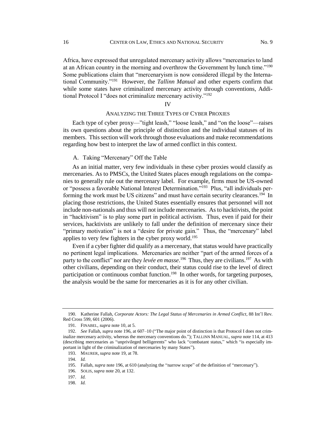Africa, have expressed that unregulated mercenary activity allows "mercenaries to land at an African country in the morning and overthrow the Government by lunch time."<sup>190</sup> Some publications claim that "mercenaryism is now considered illegal by the International Community."<sup>191</sup> However, the *Tallinn Manual* and other experts confirm that while some states have criminalized mercenary activity through conventions, Additional Protocol I "does not criminalize mercenary activity."<sup>192</sup>

IV

## ANALYZING THE THREE TYPES OF CYBER PROXIES

Each type of cyber proxy—"tight leash," "loose leash," and "on the loose"—raises its own questions about the principle of distinction and the individual statuses of its members. This section will work through those evaluations and make recommendations regarding how best to interpret the law of armed conflict in this context.

# A. Taking "Mercenary" Off the Table

As an initial matter, very few individuals in these cyber proxies would classify as mercenaries. As to PMSCs, the United States places enough regulations on the companies to generally rule out the mercenary label. For example, firms must be US-owned or "possess a favorable National Interest Determination."<sup>193</sup> Plus, "all individuals performing the work must be US citizens" and must have certain security clearances.<sup>194</sup> In placing those restrictions, the United States essentially ensures that personnel will not include non-nationals and thus will not include mercenaries. As to hacktivists, the point in "hacktivism" is to play some part in political activism. Thus, even if paid for their services, hacktivists are unlikely to fall under the definition of mercenary since their "primary motivation" is not a "desire for private gain." Thus, the "mercenary" label applies to very few fighters in the cyber proxy world.<sup>195</sup>

Even if a cyber fighter did qualify as a mercenary, that status would have practically no pertinent legal implications. Mercenaries are neither "part of the armed forces of a party to the conflict" nor are they *levée en masse*.<sup>196</sup> Thus, they are civilians.<sup>197</sup> As with other civilians, depending on their conduct, their status could rise to the level of direct participation or continuous combat function.<sup>198</sup> In other words, for targeting purposes, the analysis would be the same for mercenaries as it is for any other civilian.

<sup>190.</sup> Katherine Fallah, *Corporate Actors: The Legal Status of Mercenaries in Armed Conflict*, 88 Int'l Rev. Red Cross 599, 601 (2006).

<sup>191.</sup> FINABEL, *supra* note 10, at 5.

<sup>192.</sup> *See* Fallah, *supra* note 196, at 607–10 ("The major point of distinction is that Protocol I does not criminalize mercenary activity, whereas the mercenary conventions do."); TALLINN MANUAL, *supra* note 114, at 413 (describing mercenaries as "unprivileged belligerents" who lack "combatant status," which "is especially important in light of the criminalization of mercenaries by many States").

<sup>193.</sup> MAURER, *supra* note 19, at 78.

<sup>194.</sup> *Id.*

<sup>195.</sup> Fallah, *supra* note 196, at 610 (analyzing the "narrow scope" of the definition of "mercenary").

<sup>196.</sup> SOLIS, *supra* note 20, at 132.

<sup>197.</sup> *Id.*

<sup>198.</sup> *Id.*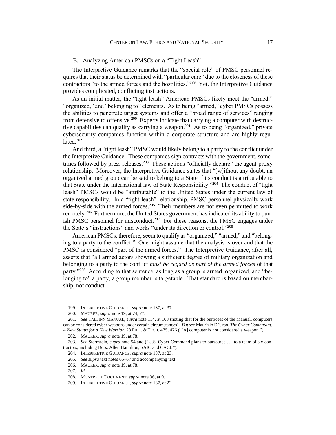#### B. Analyzing American PMSCs on a "Tight Leash"

The Interpretive Guidance remarks that the "special role" of PMSC personnel requires that their status be determined with "particular care" due to the closeness of these contractors "to the armed forces and the hostilities."<sup>199</sup> Yet, the Interpretive Guidance provides complicated, conflicting instructions.

As an initial matter, the "tight leash" American PMSCs likely meet the "armed," "organized," and "belonging to" elements. As to being "armed," cyber PMSCs possess the abilities to penetrate target systems and offer a "broad range of services" ranging from defensive to offensive.<sup>200</sup> Experts indicate that carrying a computer with destructive capabilities can qualify as carrying a weapon.<sup>201</sup> As to being "organized," private cybersecurity companies function within a corporate structure and are highly regulated.<sup>202</sup>

And third, a "tight leash" PMSC would likely belong to a party to the conflict under the Interpretive Guidance. These companies sign contracts with the government, sometimes followed by press releases.<sup>203</sup> These actions "officially declare" the agent-proxy relationship. Moreover, the Interpretive Guidance states that "[w]ithout any doubt, an organized armed group can be said to belong to a State if its conduct is attributable to that State under the international law of State Responsibility."<sup>204</sup> The conduct of "tight leash" PMSCs would be "attributable" to the United States under the current law of state responsibility. In a "tight leash" relationship, PMSC personnel physically work side-by-side with the armed forces.<sup>205</sup> Their members are not even permitted to work remotely.<sup>206</sup> Furthermore, the United States government has indicated its ability to punish PMSC personnel for misconduct.<sup>207</sup> For these reasons, the PMSC engages under the State's "instructions" and works "under its direction or control."<sup>208</sup>

American PMSCs, therefore, seem to qualify as "organized," "armed," and "belonging to a party to the conflict." One might assume that the analysis is over and that the PMSC is considered "part of the armed forces." The Interpretive Guidance, after all, asserts that "all armed actors showing a sufficient degree of military organization and belonging to a party to the conflict *must be regard as part of the armed forces* of that party."<sup>209</sup> According to that sentence, as long as a group is armed, organized, and "belonging to" a party, a group member is targetable. That standard is based on membership, not conduct.

<sup>199.</sup> INTERPRETIVE GUIDANCE, *supra* note 137, at 37.

<sup>200.</sup> MAURER, *supra* note 19, at 74, 77.

<sup>201.</sup> *See* TALLINN MANUAL, *supra* note 114, at 103 (noting that for the purposes of the Manual, computers can be considered cyber weapons under certain circumstances). *But see* Maurizio D'Urso, *The Cyber Combatant: A New Status for a New Warrior*, 28 PHIL. & TECH. 475, 476 ("[A] computer is not considered a weapon.").

<sup>202.</sup> MAURER, *supra* note 19, at 78.

<sup>203.</sup> *See* Sternstein, *supra* note 54 and ("U.S. Cyber Command plans to outsource . . . to a team of six contractors, including Booz Allen Hamilton, SAIC and CACI.").

<sup>204.</sup> INTERPRETIVE GUIDANCE, *supra* note 137, at 23.

<sup>205.</sup> *See supra* text notes 65–67 and accompanying text.

<sup>206.</sup> MAURER, *supra* note 19, at 78.

<sup>207.</sup> *Id.*

<sup>208.</sup> MONTREUX DOCUMENT, *supra* note 36, at 9.

<sup>209.</sup> INTERPRETIVE GUIDANCE, *supra* note 137, at 22.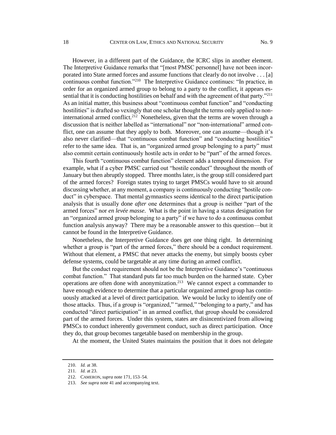However, in a different part of the Guidance, the ICRC slips in another element. The Interpretive Guidance remarks that "[most PMSC personnel] have not been incorporated into State armed forces and assume functions that clearly do not involve . . . [a] continuous combat function."<sup>210</sup> The Interpretive Guidance continues: "In practice, in order for an organized armed group to belong to a party to the conflict, it appears essential that it is conducting hostilities on behalf and with the agreement of that party."<sup>211</sup> As an initial matter, this business about "continuous combat function" and "conducting hostilities" is drafted so vexingly that one scholar thought the terms only applied to noninternational armed conflict.<sup>212</sup> Nonetheless, given that the terms are woven through a discussion that is neither labelled as "international" nor "non-international" armed conflict, one can assume that they apply to both. Moreover, one can assume—though it's also never clarified—that "continuous combat function" and "conducting hostilities" refer to the same idea. That is, an "organized armed group belonging to a party" must also commit certain continuously hostile acts in order to be "part" of the armed forces.

This fourth "continuous combat function" element adds a temporal dimension. For example, what if a cyber PMSC carried out "hostile conduct" throughout the month of January but then abruptly stopped. Three months later, is the group still considered part of the armed forces? Foreign states trying to target PMSCs would have to sit around discussing whether, at any moment, a company is continuously conducting "hostile conduct" in cyberspace. That mental gymnastics seems identical to the direct participation analysis that is usually done *after* one determines that a group is neither "part of the armed forces" nor *en levée masse*. What is the point in having a status designation for an "organized armed group belonging to a party" if we have to do a continuous combat function analysis anyway? There may be a reasonable answer to this question—but it cannot be found in the Interpretive Guidance.

Nonetheless, the Interpretive Guidance does get one thing right. In determining whether a group is "part of the armed forces," there should be a conduct requirement. Without that element, a PMSC that never attacks the enemy, but simply boosts cyber defense systems, could be targetable at any time during an armed conflict.

But the conduct requirement should not be the Interpretive Guidance's "continuous combat function." That standard puts far too much burden on the harmed state. Cyber operations are often done with anonymization.<sup>213</sup> We cannot expect a commander to have enough evidence to determine that a particular organized armed group has continuously attacked at a level of direct participation. We would be lucky to identify one of those attacks. Thus, if a group is "organized," "armed," "belonging to a party," and has conducted "direct participation" in an armed conflict, that group should be considered part of the armed forces. Under this system, states are disincentivized from allowing PMSCs to conduct inherently government conduct, such as direct participation. Once they do, that group becomes targetable based on membership in the group.

At the moment, the United States maintains the position that it does not delegate

<sup>210.</sup> *Id.* at 38.

<sup>211.</sup> *Id.* at 23.

<sup>212.</sup> CAMERON, *supra* note 171, 153–54.

<sup>213.</sup> *See supra* note 41 and accompanying text.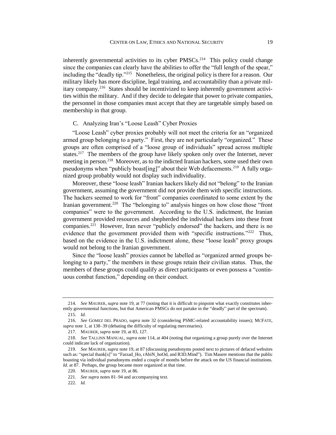inherently governmental activities to its cyber PMSCs.<sup>214</sup> This policy could change since the companies can clearly have the abilities to offer the "full length of the spear," including the "deadly tip."<sup>215</sup> Nonetheless, the original policy is there for a reason. Our military likely has more discipline, legal training, and accountability than a private military company.<sup>216</sup> States should be incentivized to keep inherently government activities within the military. And if they decide to delegate that power to private companies, the personnel in those companies must accept that they are targetable simply based on membership in that group.

# C. Analyzing Iran's "Loose Leash" Cyber Proxies

"Loose Leash" cyber proxies probably will not meet the criteria for an "organized armed group belonging to a party." First, they are not particularly "organized." These groups are often comprised of a "loose group of individuals" spread across multiple states.<sup>217</sup> The members of the group have likely spoken only over the Internet, never meeting in person.<sup>218</sup> Moreover, as to the indicted Iranian hackers, some used their own pseudonyms when "publicly boast[ing]" about their Web defacements.<sup>219</sup> A fully organized group probably would not display such individuality.

Moreover, these "loose leash" Iranian hackers likely did not "belong" to the Iranian government, assuming the government did not provide them with specific instructions. The hackers seemed to work for "front" companies coordinated to some extent by the Iranian government.<sup>220</sup> The "belonging to" analysis hinges on how close those "front companies" were to the government. According to the U.S. indictment, the Iranian government provided resources and shepherded the individual hackers into these front companies.<sup>221</sup> However, Iran never "publicly endorsed" the hackers, and there is no evidence that the government provided them with "specific instructions."<sup>222</sup> Thus, based on the evidence in the U.S. indictment alone, these "loose leash" proxy groups would not belong to the Iranian government.

Since the "loose leash" proxies cannot be labelled as "organized armed groups belonging to a party," the members in these groups retain their civilian status. Thus, the members of these groups could qualify as direct participants or even possess a "continuous combat function," depending on their conduct.

<sup>214.</sup> *See* MAURER, *supra* note 19, at 77 (noting that it is difficult to pinpoint what exactly constitutes inherently governmental functions, but that American PMSCs do not partake in the "deadly" part of the spectrum).

<sup>215.</sup> *Id.*

<sup>216.</sup> *See* GOMEZ DEL PRADO, *supra* note 32 (considering PSMC-related accountability issues); MCFATE, *supra* note 1, at 138–39 (debating the difficulty of regulating mercenaries).

<sup>217.</sup> MAURER, *supra* note 19, at 83, 127.

<sup>218.</sup> *See* TALLINN MANUAL, *supra* note 114, at 404 (noting that organizing a group purely over the Internet could indicate lack of organization).

<sup>219.</sup> *See* MAURER, *supra* note 19, at 87 (discussing pseudonyms posted next to pictures of defaced websites such as: "special thank[s]" to "Farzad\_Ho, rAbiN\_hoOd, and R3D.Mind"). Tim Maurer mentions that the public boasting via individual pseudonyms ended a couple of months before the attack on the US financial institutions. *Id.* at 87. Perhaps, the group became more organized at that time.

<sup>220.</sup> MAURER, *supra* note 19, at 86.

<sup>221.</sup> *See supra* notes 81–94 and accompanying text.

<sup>222.</sup> *Id.*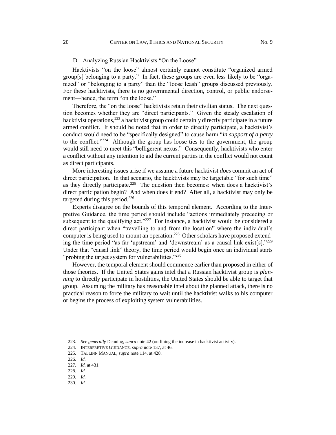#### D. Analyzing Russian Hacktivists "On the Loose"

Hacktivists "on the loose" almost certainly cannot constitute "organized armed group[s] belonging to a party." In fact, these groups are even less likely to be "organized" or "belonging to a party" than the "loose leash" groups discussed previously. For these hacktivists, there is no governmental direction, control, or public endorsement—hence, the term "on the loose."

Therefore, the "on the loose" hacktivists retain their civilian status. The next question becomes whether they are "direct participants." Given the steady escalation of hacktivist operations,<sup>223</sup> a hacktivist group could certainly directly participate in a future armed conflict. It should be noted that in order to directly participate, a hacktivist's conduct would need to be "specifically designed" to cause harm "*in support of a party* to the conflict."<sup>224</sup> Although the group has loose ties to the government, the group would still need to meet this "belligerent nexus." Consequently, hacktivists who enter a conflict without any intention to aid the current parties in the conflict would not count as direct participants.

More interesting issues arise if we assume a future hacktivist *does* commit an act of direct participation. In that scenario, the hacktivists may be targetable "for such time" as they directly participate.<sup>225</sup> The question then becomes: when does a hacktivist's direct participation begin? And when does it end? After all, a hacktivist may only be targeted during this period.<sup>226</sup>

Experts disagree on the bounds of this temporal element. According to the Interpretive Guidance, the time period should include "actions immediately preceding or subsequent to the qualifying  $act.^{227}$  For instance, a hacktivist would be considered a direct participant when "travelling to and from the location" where the individual's computer is being used to mount an operation.<sup>228</sup> Other scholars have proposed extending the time period "as far 'upstream' and 'downstream' as a causal link exist[s]." $^{229}$ Under that "causal link" theory, the time period would begin once an individual starts "probing the target system for vulnerabilities."<sup>230</sup>

However, the temporal element should commence earlier than proposed in either of those theories. If the United States gains intel that a Russian hacktivist group is *planning* to directly participate in hostilities, the United States should be able to target that group. Assuming the military has reasonable intel about the planned attack, there is no practical reason to force the military to wait until the hacktivist walks to his computer or begins the process of exploiting system vulnerabilities.

<sup>223.</sup> *See generally* Denning, *supra* note 42 (outlining the increase in hacktivist activity).

<sup>224.</sup> INTERPRETIVE GUIDANCE, *supra* note 137, at 46.

<sup>225.</sup> TALLINN MANUAL, *supra* note 114, at 428.

<sup>226.</sup> *Id.*

<sup>227.</sup> *Id.* at 431.

<sup>228.</sup> *Id.*

<sup>229.</sup> *Id.*

<sup>230.</sup> *Id.*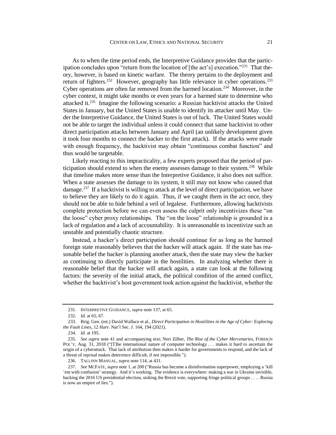As to when the time period ends, the Interpretive Guidance provides that the participation concludes upon "return from the location of [the act's] execution."<sup>231</sup> That theory, however, is based on kinetic warfare. The theory pertains to the deployment and return of fighters.<sup>232</sup> However, geography has little relevance in cyber operations.<sup>233</sup> Cyber operations are often far removed from the harmed location.<sup>234</sup> Moreover, in the cyber context, it might take months or even years for a harmed state to determine who attacked it.<sup>235</sup> Imagine the following scenario: a Russian hacktivist attacks the United States in January, but the United States is unable to identify its attacker until May. Under the Interpretive Guidance, the United States is out of luck. The United States would not be able to target the individual unless it could connect that same hacktivist to other direct participation attacks between January and April (an unlikely development given it took four months to connect the hacker to the first attack). If the attacks were made with enough frequency, the hacktivist may obtain "continuous combat function" and thus would be targetable.

Likely reacting to this impracticality, a few experts proposed that the period of participation should extend to when the enemy assesses damage to their system.<sup>236</sup> While that timeline makes more sense than the Interpretive Guidance, it also does not suffice. When a state assesses the damage to its system, it still may not know who caused that damage.<sup>237</sup> If a hacktivist is willing to attack at the level of direct participation, we have to believe they are likely to do it again. Thus, if we caught them in the act once, they should not be able to hide behind a veil of legalese. Furthermore, allowing hacktivists complete protection before we can even assess the culprit only incentivizes these "on the loose" cyber proxy relationships. The "on the loose" relationship is grounded in a lack of regulation and a lack of accountability. It is unreasonable to incentivize such an unstable and potentially chaotic structure.

Instead, a hacker's direct participation should continue for as long as the harmed foreign state reasonably believes that the hacker will attack again. If the state has reasonable belief the hacker is planning another attack, then the state may view the hacker as continuing to directly participate in the hostilities. In analyzing whether there is reasonable belief that the hacker will attack again, a state can look at the following factors: the severity of the initial attack, the political condition of the armed conflict, whether the hacktivist's host government took action against the hacktivist, whether the

<sup>231.</sup> INTERPRETIVE GUIDANCE, *supra* note 137, at 65.

<sup>232.</sup> *Id.* at 65, 67.

<sup>233.</sup> Brig. Gen. (ret.) David Wallace et al., *Direct Participation in Hostilities in the Age of Cyber: Exploring the Fault Lines*, 12 Harv. Nat'l Sec. J. 164, 194 (2021).

<sup>234.</sup> *Id.* at 195.

<sup>235.</sup> *See supra* note 41 and accompanying text; Neri Zilber, *The Rise of the Cyber Mercenaries*, FOREIGN POL'Y, Aug. 31, 2018 ("[T]he international nature of computer technology . . . makes it hard to ascertain the origin of a cyberattack. That lack of attribution then makes it harder for governments to respond, and the lack of a threat of reprisal makes deterrence difficult, if not impossible.").

<sup>236.</sup> TALLINN MANUAL, *supra* note 114, at 431.

<sup>237.</sup> *See* MCFATE, *supra* note 1, at 200 ("Russia has become a disinformation superpower, employing a 'kill 'em with confusion' strategy. And it's working. The evidence is everywhere: making a war in Ukraine invisible, hacking the 2016 US presidential election, stoking the Brexit vote, supporting fringe political groups . . . . Russia is now an empire of lies.").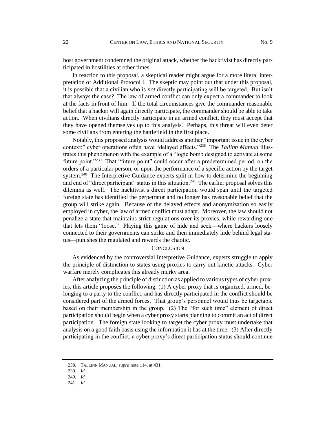host government condemned the original attack, whether the hacktivist has directly participated in hostilities at other times.

In reaction to this proposal, a skeptical reader might argue for a more literal interpretation of Additional Protocol I. The skeptic may point out that under this proposal, it is possible that a civilian who is *not* directly participating will be targeted. But isn't that always the case? The law of armed conflict can only expect a commander to look at the facts in front of him. If the total circumstances give the commander reasonable belief that a hacker will again directly participate, the commander should be able to take action. When civilians directly participate in an armed conflict, they must accept that they have opened themselves up to this analysis. Perhaps, this threat will even deter some civilians from entering the battlefield in the first place.

Notably, this proposed analysis would address another "important issue in the cyber context:" cyber operations often have "delayed effects."<sup>238</sup> The *Tallinn Manual* illustrates this phenomenon with the example of a "logic bomb designed to activate at some future point."<sup>239</sup> That "future point" could occur after a predetermined period, on the orders of a particular person, or upon the performance of a specific action by the target system.<sup>240</sup> The Interpretive Guidance experts split in how to determine the beginning and end of "direct participant" status in this situation.<sup>241</sup> The earlier proposal solves this dilemma as well. The hacktivist's direct participation would span until the targeted foreign state has identified the perpetrator and no longer has reasonable belief that the group will strike again. Because of the delayed effects and anonymization so easily employed in cyber, the law of armed conflict must adapt. Moreover, the law should not penalize a state that maintains strict regulations over its proxies, while rewarding one that lets them "loose." Playing this game of hide and seek—where hackers loosely connected to their governments can strike and then immediately hide behind legal status—punishes the regulated and rewards the chaotic.

#### **CONCLUSION**

As evidenced by the controversial Interpretive Guidance, experts struggle to apply the principle of distinction to states using proxies to carry out kinetic attacks. Cyber warfare merely complicates this already murky area.

After analyzing the principle of distinction as applied to various types of cyber proxies, this article proposes the following: (1) A cyber proxy that is organized, armed, belonging to a party to the conflict, and has directly participated in the conflict should be considered part of the armed forces. That group's personnel would thus be targetable based on their membership in the group. (2) The "for such time" element of direct participation should begin when a cyber proxy starts planning to commit an act of direct participation. The foreign state looking to target the cyber proxy must undertake that analysis on a good faith basis using the information it has at the time. (3) After directly participating in the conflict, a cyber proxy's direct participation status should continue

<sup>238.</sup> TALLINN MANUAL, *supra* note 114, at 431.

<sup>239.</sup> *Id.*

<sup>240.</sup> *Id.*

<sup>241.</sup> *Id.*